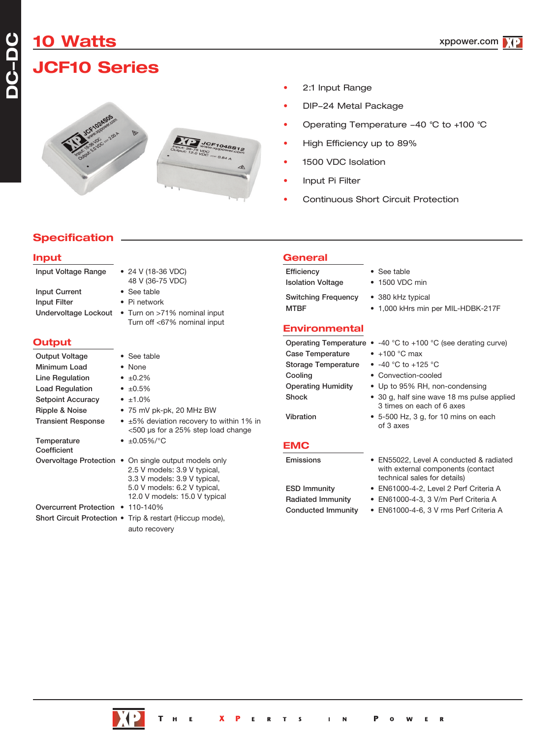**DC-DC**

# **JCF10 Series**



- 2:1 Input Range
- DIP-24 Metal Package
- Operating Temperature -40 °C to +100 °C
- High Efficiency up to 89%
- 1500 VDC Isolation
- Input Pi Filter
- Continuous Short Circuit Protection

### **Specification**

| <b>Input</b>                                                                                                                                                  |                                                                                                                                                                                        | <b>General</b>                                                                                                      |                                                                                                                                                                                                                                           |
|---------------------------------------------------------------------------------------------------------------------------------------------------------------|----------------------------------------------------------------------------------------------------------------------------------------------------------------------------------------|---------------------------------------------------------------------------------------------------------------------|-------------------------------------------------------------------------------------------------------------------------------------------------------------------------------------------------------------------------------------------|
| Input Voltage Range                                                                                                                                           | • 24 V (18-36 VDC)<br>48 V (36-75 VDC)                                                                                                                                                 | Efficiency<br><b>Isolation Voltage</b>                                                                              | • See table<br>• 1500 VDC min                                                                                                                                                                                                             |
| <b>Input Current</b><br><b>Input Filter</b><br>Undervoltage Lockout                                                                                           | • See table<br>• Pi network<br>• Turn on >71% nominal input<br>Turn off <67% nominal input                                                                                             | <b>Switching Frequency</b><br><b>MTBF</b><br><b>Environmental</b>                                                   | • 380 kHz typical<br>• 1,000 kHrs min per MIL-HDBK-217F                                                                                                                                                                                   |
| <b>Output</b>                                                                                                                                                 |                                                                                                                                                                                        |                                                                                                                     | Operating Temperature $\bullet$ -40 °C to +100 °C (see derating curve)                                                                                                                                                                    |
| <b>Output Voltage</b><br>Minimum Load<br>Line Regulation<br><b>Load Regulation</b><br><b>Setpoint Accuracy</b><br>Ripple & Noise<br><b>Transient Response</b> | • See table<br>• None<br>• $\pm 0.2\%$<br>• $\pm 0.5\%$<br>• $±1.0\%$<br>• 75 mV pk-pk, 20 MHz BW<br>• ±5% deviation recovery to within 1% in<br><500 µs for a 25% step load change    | <b>Case Temperature</b><br><b>Storage Temperature</b><br>Cooling<br><b>Operating Humidity</b><br>Shock<br>Vibration | $\bullet$ +100 °C max<br>• $-40$ °C to $+125$ °C<br>• Convection-cooled<br>• Up to 95% RH, non-condensing<br>• 30 g, half sine wave 18 ms pulse applied<br>3 times on each of 6 axes<br>• 5-500 Hz, 3 g, for 10 mins on each<br>of 3 axes |
| Temperature<br>Coefficient                                                                                                                                    | • $\pm 0.05\%$ /°C                                                                                                                                                                     | <b>EMC</b>                                                                                                          |                                                                                                                                                                                                                                           |
|                                                                                                                                                               | Overvoltage Protection • On single output models only<br>2.5 V models: 3.9 V typical,<br>3.3 V models: 3.9 V typical,<br>5.0 V models: 6.2 V typical,<br>12.0 V models: 15.0 V typical | Emissions<br><b>ESD Immunity</b><br><b>Radiated Immunity</b>                                                        | • EN55022, Level A conducted & radiated<br>with external components (contact<br>technical sales for details)<br>• EN61000-4-2, Level 2 Perf Criteria A<br>· EN61000-4-3, 3 V/m Perf Criteria A                                            |
| Overcurrent Protection • 110-140%                                                                                                                             |                                                                                                                                                                                        | <b>Conducted Immunity</b>                                                                                           | • EN61000-4-6, 3 V rms Perf Criteria A                                                                                                                                                                                                    |
|                                                                                                                                                               | Short Circuit Protection • Trip & restart (Hiccup mode),                                                                                                                               |                                                                                                                     |                                                                                                                                                                                                                                           |



auto recovery